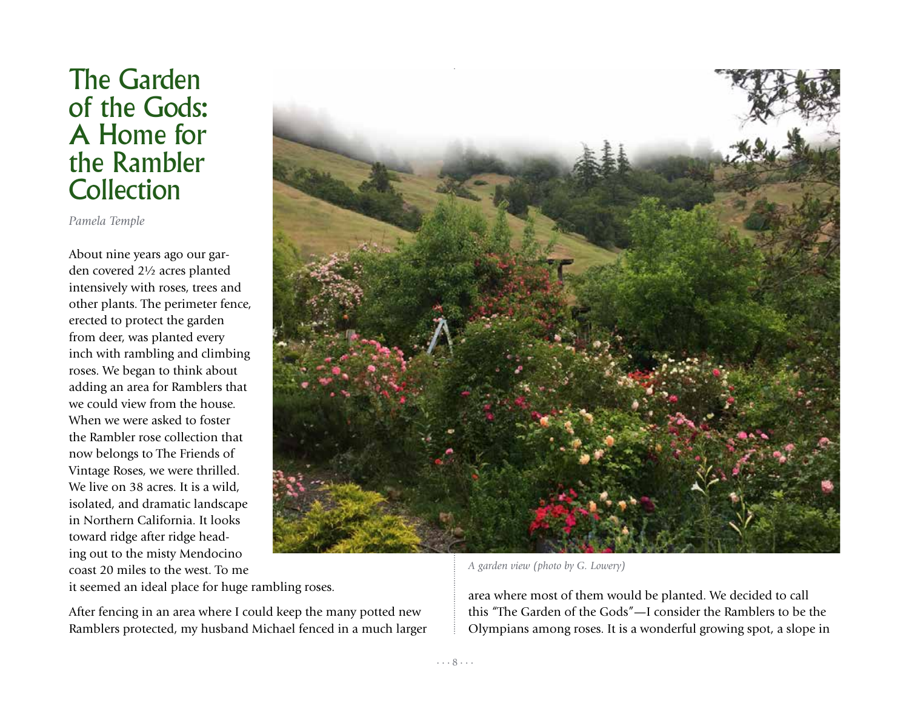## The Garden of the Gods: A Home for the Rambler **Collection**

*Pamela Temple*

About nine years ago our garden covered 2½ acres planted intensively with roses, trees and other plants. The perimeter fence, erected to protect the garden from deer, was planted every inch with rambling and climbing roses. We began to think about adding an area for Ramblers that we could view from the house. When we were asked to foster the Rambler rose collection that now belongs to The Friends of Vintage Roses, we were thrilled. We live on 38 acres. It is a wild, isolated, and dramatic landscape in Northern California. It looks toward ridge after ridge heading out to the misty Mendocino coast 20 miles to the west. To me it seemed an ideal place for huge rambling roses.

After fencing in an area where I could keep the many potted new Ramblers protected, my husband Michael fenced in a much larger



*A garden view (photo by G. Lowery)*

area where most of them would be planted. We decided to call this "The Garden of the Gods"—I consider the Ramblers to be the Olympians among roses. It is a wonderful growing spot, a slope in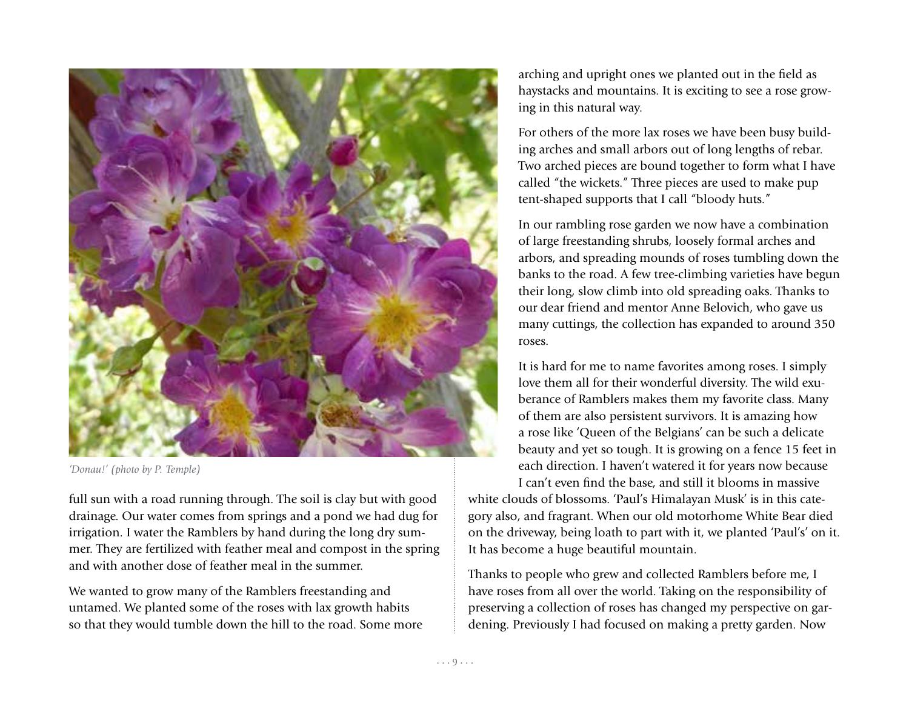

*'Donau!' (photo by P. Temple)*

full sun with a road running through. The soil is clay but with good drainage. Our water comes from springs and a pond we had dug for irrigation. I water the Ramblers by hand during the long dry summer. They are fertilized with feather meal and compost in the spring and with another dose of feather meal in the summer.

We wanted to grow many of the Ramblers freestanding and untamed. We planted some of the roses with lax growth habits so that they would tumble down the hill to the road. Some more arching and upright ones we planted out in the field as haystacks and mountains. It is exciting to see a rose growing in this natural way.

For others of the more lax roses we have been busy building arches and small arbors out of long lengths of rebar. Two arched pieces are bound together to form what I have called "the wickets." Three pieces are used to make pup tent-shaped supports that I call "bloody huts."

In our rambling rose garden we now have a combination of large freestanding shrubs, loosely formal arches and arbors, and spreading mounds of roses tumbling down the banks to the road. A few tree-climbing varieties have begun their long, slow climb into old spreading oaks. Thanks to our dear friend and mentor Anne Belovich, who gave us many cuttings, the collection has expanded to around 350 roses.

It is hard for me to name favorites among roses. I simply love them all for their wonderful diversity. The wild exuberance of Ramblers makes them my favorite class. Many of them are also persistent survivors. It is amazing how a rose like 'Queen of the Belgians' can be such a delicate beauty and yet so tough. It is growing on a fence 15 feet in each direction. I haven't watered it for years now because I can't even find the base, and still it blooms in massive

white clouds of blossoms. 'Paul's Himalayan Musk' is in this category also, and fragrant. When our old motorhome White Bear died on the driveway, being loath to part with it, we planted 'Paul's' on it. It has become a huge beautiful mountain.

Thanks to people who grew and collected Ramblers before me, I have roses from all over the world. Taking on the responsibility of preserving a collection of roses has changed my perspective on gardening. Previously I had focused on making a pretty garden. Now